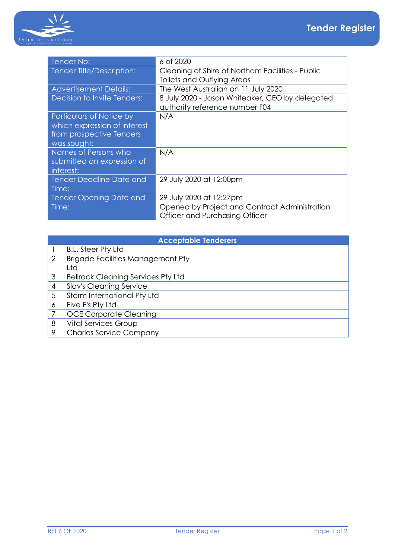

| <b>Tender No:</b>               | 6 of 2020                                        |
|---------------------------------|--------------------------------------------------|
| Tender Title/Description:       | Cleaning of Shire of Northam Facilities - Public |
|                                 | Toilets and Outlying Areas                       |
| <b>Advertisement Details:</b>   | The West Australian on 11 July 2020              |
| Decision to Invite Tenders:     | 8 July 2020 - Jason Whiteaker, CEO by delegated  |
|                                 | authority reference number F04                   |
| Particulars of Notice by        | N/A                                              |
| which expression of interest    |                                                  |
| from prospective Tenders        |                                                  |
| was sought:                     |                                                  |
| Names of Persons who            | N/A                                              |
| submitted an expression of      |                                                  |
| interest:                       |                                                  |
| <b>Tender Deadline Date and</b> | 29 July 2020 at 12:00pm                          |
| Time:                           |                                                  |
| <b>Tender Opening Date and</b>  | 29 July 2020 at 12:27pm                          |
| Time:                           | Opened by Project and Contract Administration    |
|                                 | Officer and Purchasing Officer                   |

| <b>Acceptable Tenderers</b> |                                           |  |  |
|-----------------------------|-------------------------------------------|--|--|
|                             | <b>B.L. Steer Pty Ltd</b>                 |  |  |
| $\overline{2}$              | <b>Brigade Facilities Management Pty</b>  |  |  |
|                             | Ltd                                       |  |  |
| 3                           | <b>Bellrock Cleaning Services Pty Ltd</b> |  |  |
| 4                           | <b>Slav's Cleaning Service</b>            |  |  |
| 5                           | Storm International Pty Ltd               |  |  |
| 6                           | Five E's Pty Ltd                          |  |  |
| 7                           | <b>OCE Corporate Cleaning</b>             |  |  |
| 8                           | <b>Vital Services Group</b>               |  |  |
| 9                           | <b>Charles Service Company</b>            |  |  |